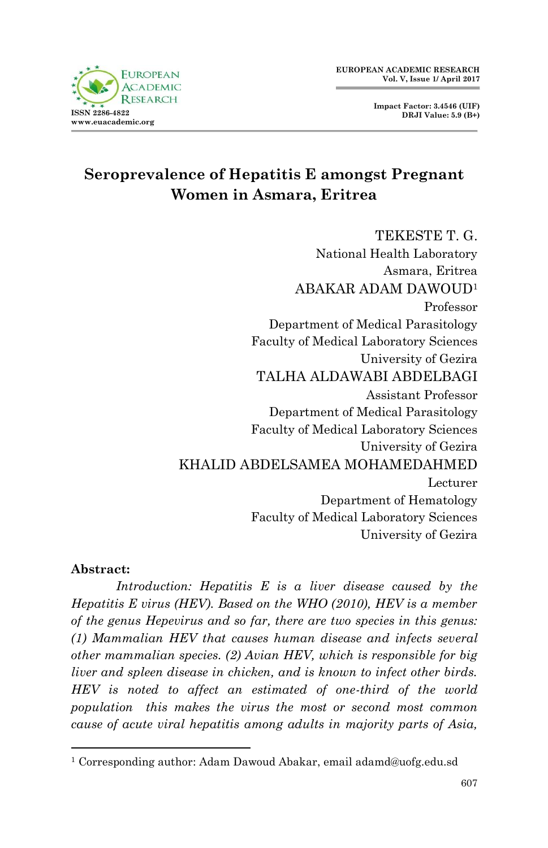



# **Seroprevalence of Hepatitis E amongst Pregnant Women in Asmara, Eritrea**

TEKESTE T. G. National Health Laboratory Asmara, Eritrea ABAKAR ADAM DAWOUD<sup>1</sup> Professor Department of Medical Parasitology Faculty of Medical Laboratory Sciences University of Gezira TALHA ALDAWABI ABDELBAGI Assistant Professor Department of Medical Parasitology Faculty of Medical Laboratory Sciences University of Gezira KHALID ABDELSAMEA MOHAMEDAHMED Lecturer Department of Hematology Faculty of Medical Laboratory Sciences University of Gezira

#### **Abstract:**

1

*Introduction: Hepatitis E is a liver disease caused by the Hepatitis E virus (HEV). Based on the WHO (2010), HEV is a member of the genus Hepevirus and so far, there are two species in this genus: (1) Mammalian HEV that causes human disease and infects several other mammalian species. (2) Avian HEV, which is responsible for big liver and spleen disease in chicken, and is known to infect other birds. HEV is noted to affect an estimated of one-third of the world population this makes the virus the most or second most common cause of acute viral hepatitis among adults in majority parts of Asia,* 

<sup>&</sup>lt;sup>1</sup> Corresponding author: Adam Dawoud Abakar, email adamd@uofg.edu.sd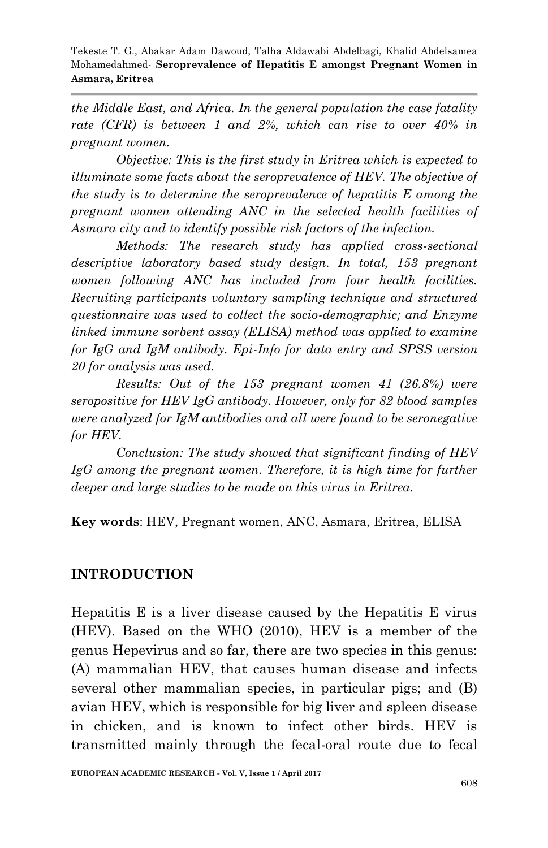*the Middle East, and Africa. In the general population the case fatality rate (CFR) is between 1 and 2%, which can rise to over 40% in pregnant women.*

*Objective: This is the first study in Eritrea which is expected to illuminate some facts about the seroprevalence of HEV. The objective of the study is to determine the seroprevalence of hepatitis E among the pregnant women attending ANC in the selected health facilities of Asmara city and to identify possible risk factors of the infection.*

*Methods: The research study has applied cross-sectional descriptive laboratory based study design. In total, 153 pregnant women following ANC has included from four health facilities. Recruiting participants voluntary sampling technique and structured questionnaire was used to collect the socio-demographic; and Enzyme linked immune sorbent assay (ELISA) method was applied to examine for IgG and IgM antibody. Epi-Info for data entry and SPSS version 20 for analysis was used.* 

*Results: Out of the 153 pregnant women 41 (26.8%) were seropositive for HEV IgG antibody. However, only for 82 blood samples were analyzed for IgM antibodies and all were found to be seronegative for HEV.* 

*Conclusion: The study showed that significant finding of HEV*  IgG among the pregnant women. Therefore, it is high time for further *deeper and large studies to be made on this virus in Eritrea.*

**Key words**: HEV, Pregnant women, ANC, Asmara, Eritrea, ELISA

# **INTRODUCTION**

Hepatitis E is a liver disease caused by the Hepatitis E virus (HEV). Based on the WHO (2010), HEV is a member of the genus Hepevirus and so far, there are two species in this genus: (A) mammalian HEV, that causes human disease and infects several other mammalian species, in particular pigs; and (B) avian HEV, which is responsible for big liver and spleen disease in chicken, and is known to infect other birds. HEV is transmitted mainly through the fecal-oral route due to fecal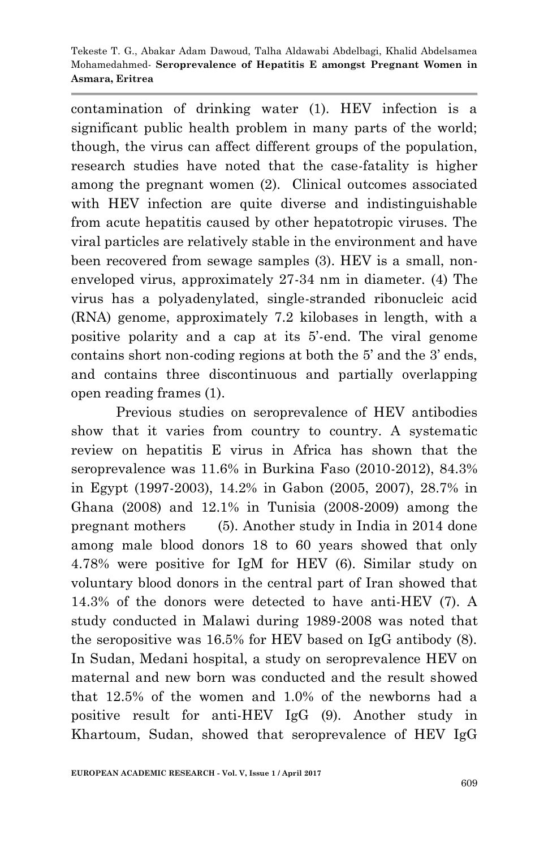contamination of drinking water (1). HEV infection is a significant public health problem in many parts of the world; though, the virus can affect different groups of the population, research studies have noted that the case-fatality is higher among the pregnant women (2). Clinical outcomes associated with HEV infection are quite diverse and indistinguishable from acute hepatitis caused by other hepatotropic viruses. The viral particles are relatively stable in the environment and have been recovered from sewage samples (3). HEV is a small, nonenveloped virus, approximately 27-34 nm in diameter. (4) The virus has a polyadenylated, single-stranded ribonucleic acid (RNA) genome, approximately 7.2 kilobases in length, with a positive polarity and a cap at its 5'-end. The viral genome contains short non-coding regions at both the 5' and the 3' ends, and contains three discontinuous and partially overlapping open reading frames (1).

Previous studies on seroprevalence of HEV antibodies show that it varies from country to country. A systematic review on hepatitis E virus in Africa has shown that the seroprevalence was 11.6% in Burkina Faso (2010-2012), 84.3% in Egypt (1997-2003), 14.2% in Gabon (2005, 2007), 28.7% in Ghana (2008) and 12.1% in Tunisia (2008-2009) among the pregnant mothers (5). Another study in India in 2014 done among male blood donors 18 to 60 years showed that only 4.78% were positive for IgM for HEV (6). Similar study on voluntary blood donors in the central part of Iran showed that 14.3% of the donors were detected to have anti-HEV (7). A study conducted in Malawi during 1989-2008 was noted that the seropositive was 16.5% for HEV based on IgG antibody (8). In Sudan, Medani hospital, a study on seroprevalence HEV on maternal and new born was conducted and the result showed that 12.5% of the women and 1.0% of the newborns had a positive result for anti-HEV IgG (9). Another study in Khartoum, Sudan, showed that seroprevalence of HEV IgG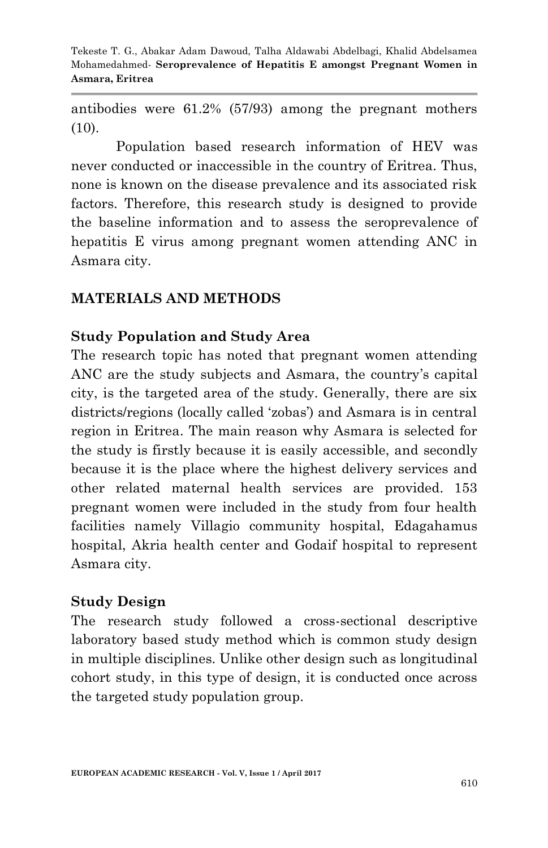antibodies were 61.2% (57/93) among the pregnant mothers  $(10).$ 

Population based research information of HEV was never conducted or inaccessible in the country of Eritrea. Thus, none is known on the disease prevalence and its associated risk factors. Therefore, this research study is designed to provide the baseline information and to assess the seroprevalence of hepatitis E virus among pregnant women attending ANC in Asmara city.

# **MATERIALS AND METHODS**

# **Study Population and Study Area**

The research topic has noted that pregnant women attending ANC are the study subjects and Asmara, the country's capital city, is the targeted area of the study. Generally, there are six districts/regions (locally called 'zobas') and Asmara is in central region in Eritrea. The main reason why Asmara is selected for the study is firstly because it is easily accessible, and secondly because it is the place where the highest delivery services and other related maternal health services are provided. 153 pregnant women were included in the study from four health facilities namely Villagio community hospital, Edagahamus hospital, Akria health center and Godaif hospital to represent Asmara city.

# **Study Design**

The research study followed a cross-sectional descriptive laboratory based study method which is common study design in multiple disciplines. Unlike other design such as longitudinal cohort study, in this type of design, it is conducted once across the targeted study population group.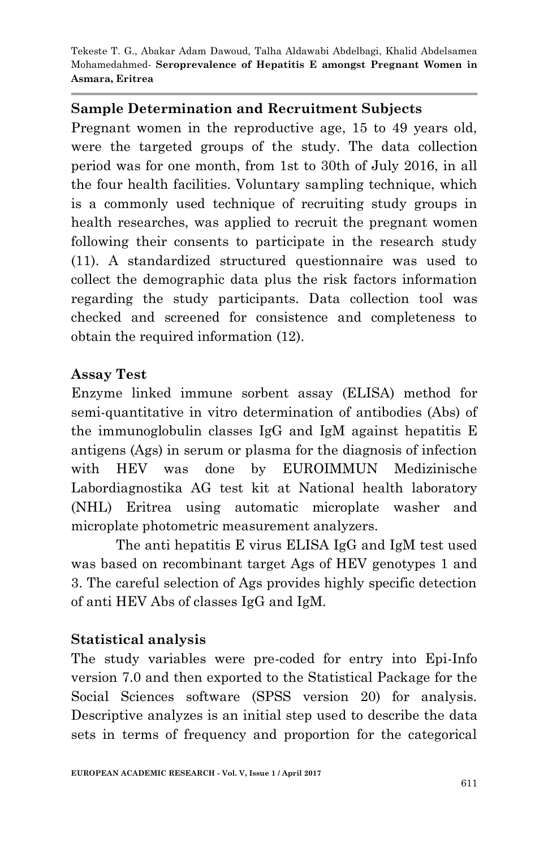# **Sample Determination and Recruitment Subjects**

Pregnant women in the reproductive age, 15 to 49 years old, were the targeted groups of the study. The data collection period was for one month, from 1st to 30th of July 2016, in all the four health facilities. Voluntary sampling technique, which is a commonly used technique of recruiting study groups in health researches, was applied to recruit the pregnant women following their consents to participate in the research study (11). A standardized structured questionnaire was used to collect the demographic data plus the risk factors information regarding the study participants. Data collection tool was checked and screened for consistence and completeness to obtain the required information (12).

# **Assay Test**

Enzyme linked immune sorbent assay (ELISA) method for semi-quantitative in vitro determination of antibodies (Abs) of the immunoglobulin classes IgG and IgM against hepatitis E antigens (Ags) in serum or plasma for the diagnosis of infection with HEV was done by EUROIMMUN Medizinische Labordiagnostika AG test kit at National health laboratory (NHL) Eritrea using automatic microplate washer and microplate photometric measurement analyzers.

The anti hepatitis E virus ELISA IgG and IgM test used was based on recombinant target Ags of HEV genotypes 1 and 3. The careful selection of Ags provides highly specific detection of anti HEV Abs of classes IgG and IgM.

# **Statistical analysis**

The study variables were pre-coded for entry into Epi-Info version 7.0 and then exported to the Statistical Package for the Social Sciences software (SPSS version 20) for analysis. Descriptive analyzes is an initial step used to describe the data sets in terms of frequency and proportion for the categorical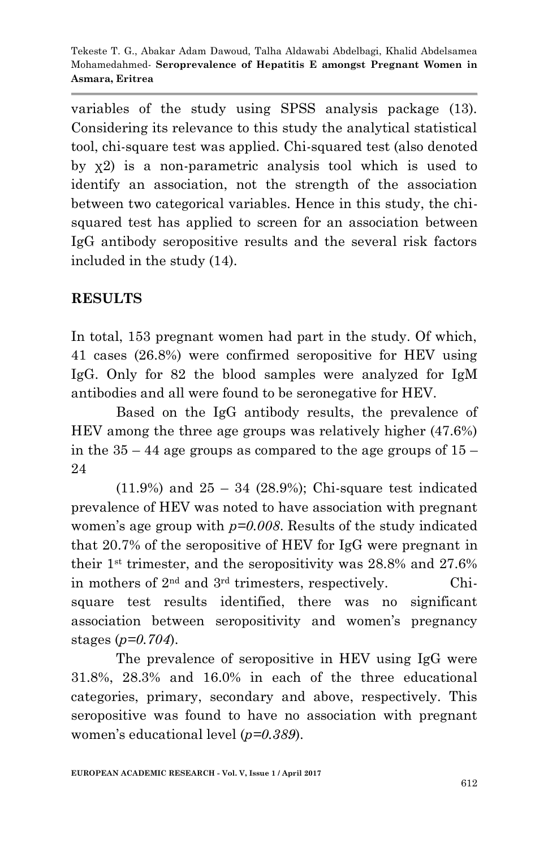variables of the study using SPSS analysis package (13). Considering its relevance to this study the analytical statistical tool, chi-square test was applied. Chi-squared test (also denoted by χ2) is a non-parametric analysis tool which is used to identify an association, not the strength of the association between two categorical variables. Hence in this study, the chisquared test has applied to screen for an association between IgG antibody seropositive results and the several risk factors included in the study (14).

# **RESULTS**

In total, 153 pregnant women had part in the study. Of which, 41 cases (26.8%) were confirmed seropositive for HEV using IgG. Only for 82 the blood samples were analyzed for IgM antibodies and all were found to be seronegative for HEV.

Based on the IgG antibody results, the prevalence of HEV among the three age groups was relatively higher (47.6%) in the  $35 - 44$  age groups as compared to the age groups of  $15 -$ 24

 $(11.9%)$  and  $25 - 34$   $(28.9%)$ ; Chi-square test indicated prevalence of HEV was noted to have association with pregnant women's age group with *p=0.008*. Results of the study indicated that 20.7% of the seropositive of HEV for IgG were pregnant in their 1st trimester, and the seropositivity was 28.8% and 27.6% in mothers of  $2<sup>nd</sup>$  and  $3<sup>rd</sup>$  trimesters, respectively. Chisquare test results identified, there was no significant association between seropositivity and women's pregnancy stages (*p=0.704*).

The prevalence of seropositive in HEV using IgG were 31.8%, 28.3% and 16.0% in each of the three educational categories, primary, secondary and above, respectively. This seropositive was found to have no association with pregnant women's educational level (*p=0.389*).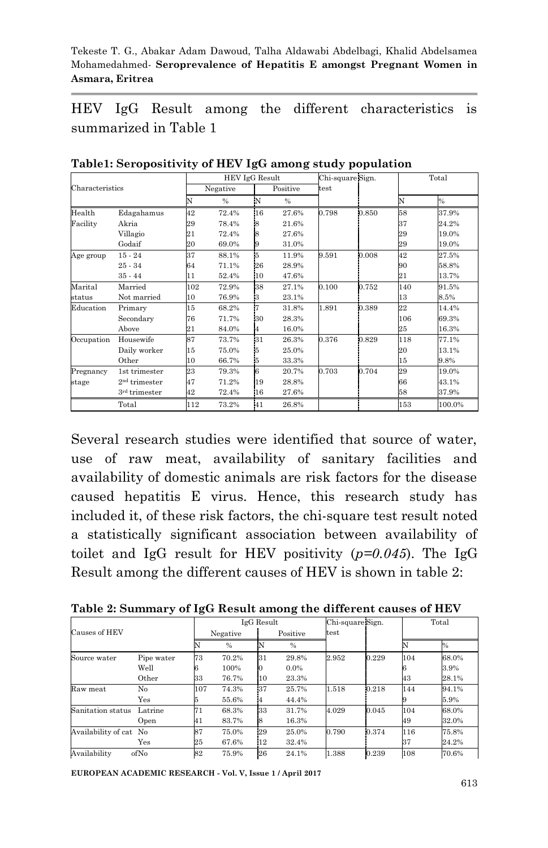HEV IgG Result among the different characteristics is summarized in Table 1

|            |                           |     | HEV IgG Result |     |          |       | Chi-square Sign. | Total |        |  |
|------------|---------------------------|-----|----------------|-----|----------|-------|------------------|-------|--------|--|
|            | Characteristics           |     | Negative       |     | Positive | test  |                  |       |        |  |
|            |                           | N   | %              | 'N  | $\%$     |       |                  | N     | %      |  |
| Health     | Edagahamus                | 42  | 72.4%          | 16  | 27.6%    | 0.798 | 0.850            | 58    | 37.9%  |  |
| Facility   | Akria                     | 29  | 78.4%          | 18  | 21.6%    |       |                  | 37    | 24.2%  |  |
|            | Villagio                  | 21  | 72.4%          | 18  | 27.6%    |       |                  | 29    | 19.0%  |  |
|            | Godaif                    | 20  | 69.0%          | 19  | 31.0%    |       |                  | 29    | 19.0%  |  |
| Age group  | $15 - 24$                 | 37  | 88.1%          | İ5  | 11.9%    | 9.591 | 0.008            | 42    | 27.5%  |  |
|            | $25 - 34$                 | 64  | 71.1%          | 26  | 28.9%    |       |                  | 90    | 58.8%  |  |
|            | $35 - 44$                 | 11  | 52.4%          | 10  | 47.6%    |       |                  | 21    | 13.7%  |  |
| Marital    | Married                   | 102 | 72.9%          | 38  | 27.1%    | 0.100 | 0.752            | 140   | 91.5%  |  |
| status     | Not married               | 10  | 76.9%          | 13  | 23.1%    |       |                  | 13    | 8.5%   |  |
| Education  | Primary                   | 15  | 68.2%          | İ7  | 31.8%    | 1.891 | 0.389            | 22    | 14.4%  |  |
|            | Secondary                 | 76  | 71.7%          | 30  | 28.3%    |       |                  | 106   | 69.3%  |  |
|            | Above                     | 21  | 84.0%          | 14  | 16.0%    |       |                  | 25    | 16.3%  |  |
| Occupation | Housewife                 | 87  | 73.7%          | 131 | 26.3%    | 0.376 | 0.829            | 118   | 77.1%  |  |
|            | Daily worker              | 15  | 75.0%          | 15  | 25.0%    |       |                  | 20    | 13.1%  |  |
|            | Other                     | 10  | 66.7%          | 15  | 33.3%    |       |                  | 15    | 9.8%   |  |
| Pregnancy  | 1st trimester             | 23  | 79.3%          | l6  | 20.7%    | 0.703 | 0.704            | 29    | 19.0%  |  |
| stage      | 2 <sup>nd</sup> trimester | 47  | 71.2%          | 19  | 28.8%    |       |                  | 66    | 43.1%  |  |
|            | 3rd trimester             | 42  | 72.4%          | 16  | 27.6%    |       |                  | 58    | 37.9%  |  |
|            | Total                     | 112 | 73.2%          | 41  | 26.8%    |       |                  | 153   | 100.0% |  |

**Table1: Seropositivity of HEV IgG among study population** 

Several research studies were identified that source of water, use of raw meat, availability of sanitary facilities and availability of domestic animals are risk factors for the disease caused hepatitis E virus. Hence, this research study has included it, of these risk factors, the chi-square test result noted a statistically significant association between availability of toilet and IgG result for HEV positivity (*p=0.045*). The IgG Result among the different causes of HEV is shown in table 2:

| Causes of HEV          |            | IgG Result |               |          |         | Chi-square Sign. |       | Total |               |
|------------------------|------------|------------|---------------|----------|---------|------------------|-------|-------|---------------|
|                        |            | Negative   |               | Positive |         | test             |       |       |               |
|                        |            |            | $\frac{0}{0}$ |          | $\%$    |                  |       |       | $\frac{1}{2}$ |
| Source water           | Pipe water | 73         | 70.2%         | 31       | 29.8%   | 2.952            | 0.229 | 104   | 68.0%         |
|                        | Well       |            | 100%          | Ю        | $0.0\%$ |                  |       |       | 3.9%          |
|                        | Other      | 33         | 76.7%         | 10       | 23.3%   |                  |       | 43    | 28.1%         |
| Raw meat               | No         | 107        | 74.3%         | 37       | 25.7%   | 1.518            | 0.218 | 144   | 94.1%         |
|                        | Yes        |            | 55.6%         | 14       | 44.4%   |                  |       |       | 5.9%          |
| Sanitation status      | Latrine    | 71         | 68.3%         | 33       | 31.7%   | 4.029            | 0.045 | 104   | 68.0%         |
|                        | Open       | 41         | 83.7%         | 18       | 16.3%   |                  |       | 49    | 32.0%         |
| Availability of cat No |            | 87         | 75.0%         | 29       | 25.0%   | 0.790            | 0.374 | 116   | 75.8%         |
|                        | Yes        | 25         | 67.6%         | $12 \,$  | 32.4%   |                  |       | 37    | 24.2%         |
| ofNo<br>Availability   |            | 82         | 75.9%         | 26       | 24.1%   | 1.388            | 0.239 | 108   | 70.6%         |

**Table 2: Summary of IgG Result among the different causes of HEV** 

**EUROPEAN ACADEMIC RESEARCH - Vol. V, Issue 1 / April 2017**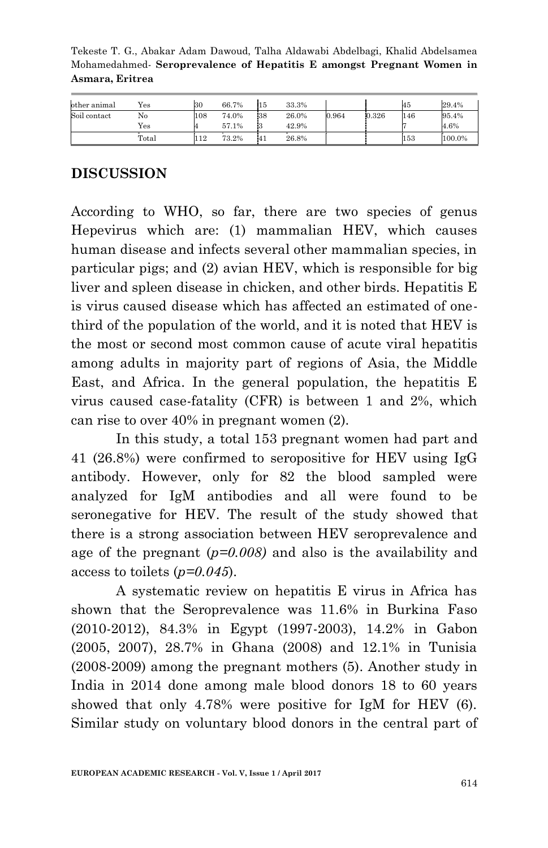Tekeste T. G., Abakar Adam Dawoud, Talha Aldawabi Abdelbagi, Khalid Abdelsamea Mohamedahmed*-* **Seroprevalence of Hepatitis E amongst Pregnant Women in Asmara, Eritrea**

| other animal | Yes   | 30  | 66.7% | 15 | 33.3% |       |       | 45  | 29.4%  |
|--------------|-------|-----|-------|----|-------|-------|-------|-----|--------|
| Soil contact | No    | 108 | 74.0% | 38 | 26.0% | 0.964 | 0.326 | 146 | 95.4%  |
|              | Yes   |     | 57.1% |    | 42.9% |       |       |     | 4.6%   |
|              | Total | 112 | 73.2% | 41 | 26.8% |       |       | 153 | 100.0% |

# **DISCUSSION**

According to WHO, so far, there are two species of genus Hepevirus which are: (1) mammalian HEV, which causes human disease and infects several other mammalian species, in particular pigs; and (2) avian HEV, which is responsible for big liver and spleen disease in chicken, and other birds. Hepatitis E is virus caused disease which has affected an estimated of onethird of the population of the world, and it is noted that HEV is the most or second most common cause of acute viral hepatitis among adults in majority part of regions of Asia, the Middle East, and Africa. In the general population, the hepatitis E virus caused case-fatality (CFR) is between 1 and 2%, which can rise to over 40% in pregnant women (2).

In this study, a total 153 pregnant women had part and 41 (26.8%) were confirmed to seropositive for HEV using IgG antibody. However, only for 82 the blood sampled were analyzed for IgM antibodies and all were found to be seronegative for HEV. The result of the study showed that there is a strong association between HEV seroprevalence and age of the pregnant (*p=0.008)* and also is the availability and access to toilets (*p=0.045*).

A systematic review on hepatitis E virus in Africa has shown that the Seroprevalence was 11.6% in Burkina Faso (2010-2012), 84.3% in Egypt (1997-2003), 14.2% in Gabon (2005, 2007), 28.7% in Ghana (2008) and 12.1% in Tunisia (2008-2009) among the pregnant mothers (5). Another study in India in 2014 done among male blood donors 18 to 60 years showed that only 4.78% were positive for IgM for HEV (6). Similar study on voluntary blood donors in the central part of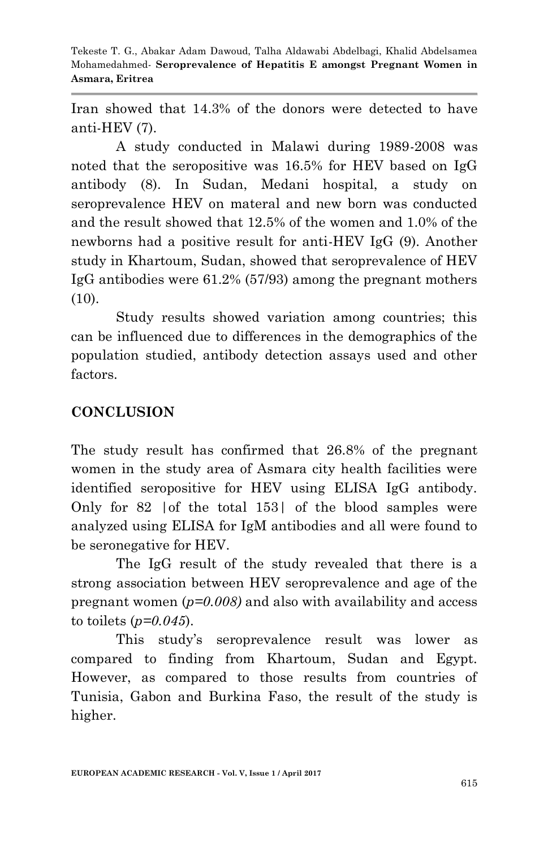Iran showed that 14.3% of the donors were detected to have anti-HEV (7).

A study conducted in Malawi during 1989-2008 was noted that the seropositive was 16.5% for HEV based on IgG antibody (8). In Sudan, Medani hospital, a study on seroprevalence HEV on materal and new born was conducted and the result showed that 12.5% of the women and 1.0% of the newborns had a positive result for anti-HEV IgG (9). Another study in Khartoum, Sudan, showed that seroprevalence of HEV IgG antibodies were 61.2% (57/93) among the pregnant mothers (10).

Study results showed variation among countries; this can be influenced due to differences in the demographics of the population studied, antibody detection assays used and other factors.

# **CONCLUSION**

The study result has confirmed that 26.8% of the pregnant women in the study area of Asmara city health facilities were identified seropositive for HEV using ELISA IgG antibody. Only for 82 |of the total 153| of the blood samples were analyzed using ELISA for IgM antibodies and all were found to be seronegative for HEV.

The IgG result of the study revealed that there is a strong association between HEV seroprevalence and age of the pregnant women (*p=0.008)* and also with availability and access to toilets (*p=0.045*).

This study's seroprevalence result was lower as compared to finding from Khartoum, Sudan and Egypt. However, as compared to those results from countries of Tunisia, Gabon and Burkina Faso, the result of the study is higher.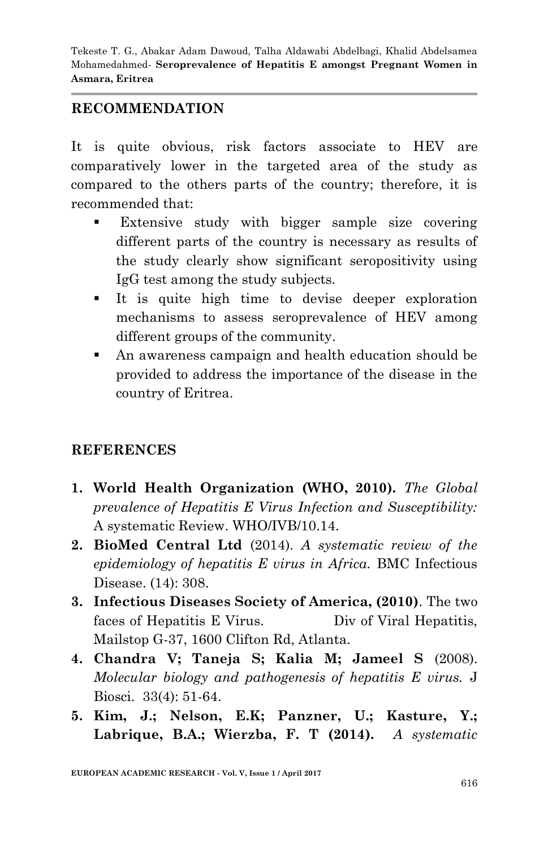# **RECOMMENDATION**

It is quite obvious, risk factors associate to HEV are comparatively lower in the targeted area of the study as compared to the others parts of the country; therefore, it is recommended that:

- **Extensive study with bigger sample size covering** different parts of the country is necessary as results of the study clearly show significant seropositivity using IgG test among the study subjects.
- It is quite high time to devise deeper exploration mechanisms to assess seroprevalence of HEV among different groups of the community.
- An awareness campaign and health education should be provided to address the importance of the disease in the country of Eritrea.

# **REFERENCES**

- **1. World Health Organization (WHO, 2010).** *The Global prevalence of Hepatitis E Virus Infection and Susceptibility:* A systematic Review. WHO/IVB/10.14.
- **2. BioMed Central Ltd** (2014). *A systematic review of the epidemiology of hepatitis E virus in Africa.* BMC Infectious Disease. (14): 308.
- **3. Infectious Diseases Society of America, (2010)**. The two faces of Hepatitis E Virus. Div of Viral Hepatitis, Mailstop G-37, 1600 Clifton Rd, Atlanta.
- **4. Chandra V; Taneja S; Kalia M; Jameel S** (2008). *Molecular biology and pathogenesis of hepatitis E virus.* J Biosci. 33(4): 51-64.
- **5. Kim, J.; Nelson, E.K; Panzner, U.; Kasture, Y.; Labrique, B.A.; Wierzba, F. T (2014).** *A systematic*